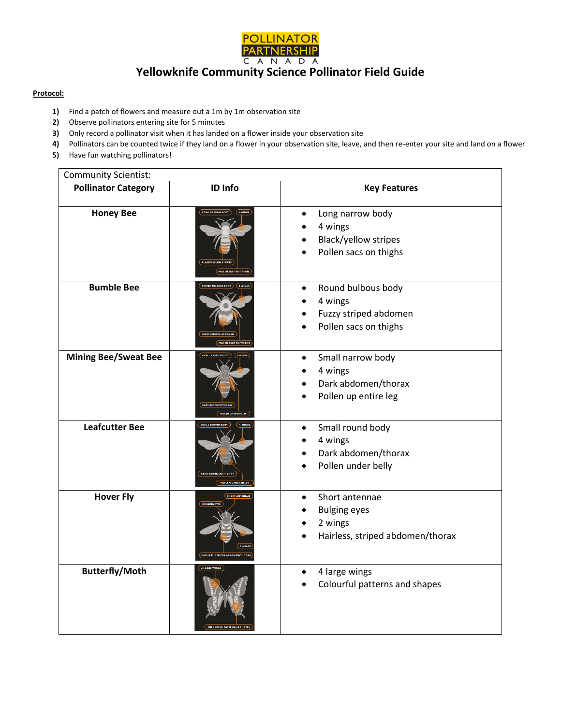

### **Yellowknife Community Science Pollinator Field Guide**

#### **Protocol:**

- **1)** Find a patch of flowers and measure out a 1m by 1m observation site
- **2)** Observe pollinators entering site for 5 minutes
- **3)** Only record a pollinator visit when it has landed on a flower inside your observation site
- **4)** Pollinators can be counted twice if they land on a flower in your observation site, leave, and then re-enter your site and land on a flower
- **5)** Have fun watching pollinators!

| <b>Community Scientist:</b> |                                                                               |                                                                                                    |  |
|-----------------------------|-------------------------------------------------------------------------------|----------------------------------------------------------------------------------------------------|--|
| <b>Pollinator Category</b>  | <b>ID Info</b>                                                                | <b>Key Features</b>                                                                                |  |
| <b>Honey Bee</b>            | POLLEN SACS ON THIGH                                                          | Long narrow body<br>$\bullet$<br>4 wings<br>Black/yellow stripes<br>Pollen sacs on thighs          |  |
| <b>Bumble Bee</b>           | <b>FUZZY STRIPED ABD</b><br>POLLEN SACS ON THIGH                              | Round bulbous body<br>$\bullet$<br>4 wings<br>Fuzzy striped abdomen<br>Pollen sacs on thighs       |  |
| <b>Mining Bee/Sweat Bee</b> |                                                                               | Small narrow body<br>$\bullet$<br>4 wings<br>Dark abdomen/thorax<br>Pollen up entire leg           |  |
| <b>Leafcutter Bee</b>       |                                                                               | Small round body<br>$\bullet$<br>4 wings<br>$\bullet$<br>Dark abdomen/thorax<br>Pollen under belly |  |
| <b>Hover Fly</b>            | <b>SHORT ANTENNAE</b><br><b>BULGING EYES</b><br><b>URLESS, STRIPED ABDOME</b> | Short antennae<br>$\bullet$<br><b>Bulging eyes</b><br>2 wings<br>Hairless, striped abdomen/thorax  |  |
| <b>Butterfly/Moth</b>       | 4 LARGE WINGS<br><b>COLOURFUL PATTERNS &amp; SHAPES</b>                       | 4 large wings<br>Colourful patterns and shapes                                                     |  |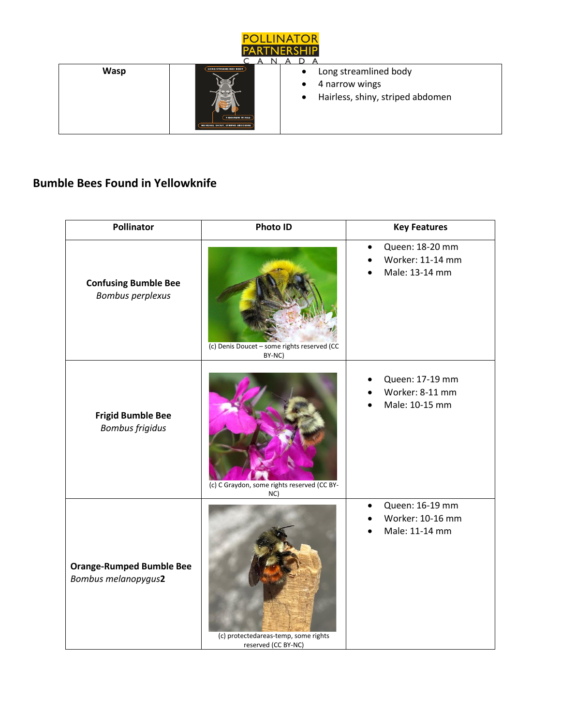

# **Bumble Bees Found in Yellowknife**

| <b>Pollinator</b>                                      | <b>Photo ID</b>                                             | <b>Key Features</b>                                                |
|--------------------------------------------------------|-------------------------------------------------------------|--------------------------------------------------------------------|
| <b>Confusing Bumble Bee</b><br><b>Bombus perplexus</b> | (c) Denis Doucet - some rights reserved (CC<br>BY-NC)       | Queen: 18-20 mm<br>$\bullet$<br>Worker: 11-14 mm<br>Male: 13-14 mm |
| <b>Frigid Bumble Bee</b><br><b>Bombus frigidus</b>     | (c) C Graydon, some rights reserved (CC BY-<br>NC)          | Queen: 17-19 mm<br>Worker: 8-11 mm<br>Male: 10-15 mm               |
| <b>Orange-Rumped Bumble Bee</b><br>Bombus melanopygus2 | (c) protectedareas-temp, some rights<br>reserved (CC BY-NC) | Queen: 16-19 mm<br>$\bullet$<br>Worker: 10-16 mm<br>Male: 11-14 mm |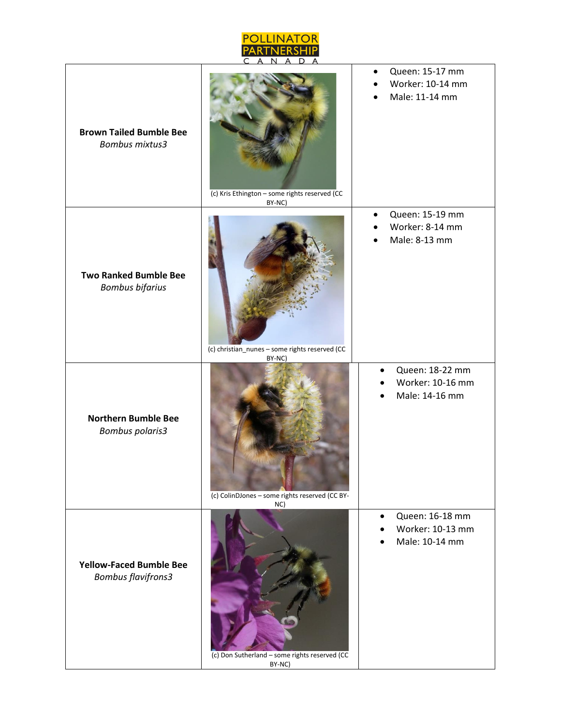

| <b>Brown Tailed Bumble Bee</b><br><b>Bombus mixtus3</b>     |                                                                                                                     | Queen: 15-17 mm<br>Worker: 10-14 mm<br>Male: 11-14 mm              |
|-------------------------------------------------------------|---------------------------------------------------------------------------------------------------------------------|--------------------------------------------------------------------|
| <b>Two Ranked Bumble Bee</b><br><b>Bombus bifarius</b>      | (c) Kris Ethington - some rights reserved (CC<br>BY-NC)<br>(c) christian_nunes - some rights reserved (CC<br>BY-NC) | Queen: 15-19 mm<br>Worker: 8-14 mm<br>Male: 8-13 mm                |
| <b>Northern Bumble Bee</b><br><b>Bombus polaris3</b>        | (c) ColinDJones - some rights reserved (CC BY-<br>NC)                                                               | Queen: 18-22 mm<br>Worker: 10-16 mm<br>Male: 14-16 mm              |
| <b>Yellow-Faced Bumble Bee</b><br><b>Bombus flavifrons3</b> | (c) Don Sutherland - some rights reserved (CC<br>BY-NC)                                                             | Queen: 16-18 mm<br>$\bullet$<br>Worker: 10-13 mm<br>Male: 10-14 mm |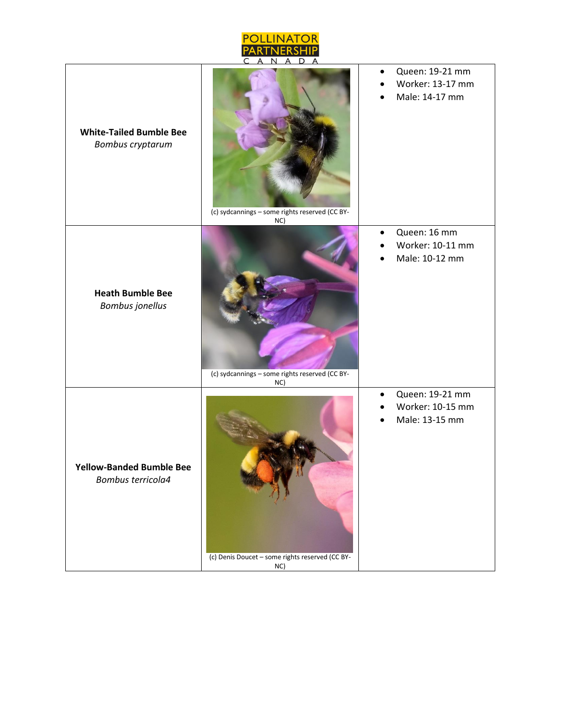|                                                           | <u>I INAT</u>                                          |                                                                    |
|-----------------------------------------------------------|--------------------------------------------------------|--------------------------------------------------------------------|
| <b>White-Tailed Bumble Bee</b><br><b>Bombus cryptarum</b> | (c) sydcannings - some rights reserved (CC BY-<br>NC)  | Queen: 19-21 mm<br>$\bullet$<br>Worker: 13-17 mm<br>Male: 14-17 mm |
| <b>Heath Bumble Bee</b><br><b>Bombus</b> jonellus         | (c) sydcannings - some rights reserved (CC BY-<br>NC)  | Queen: 16 mm<br>$\bullet$<br>Worker: 10-11 mm<br>Male: 10-12 mm    |
| <b>Yellow-Banded Bumble Bee</b><br>Bombus terricola4      | (c) Denis Doucet - some rights reserved (CC BY-<br>NC) | Queen: 19-21 mm<br>Worker: 10-15 mm<br>Male: 13-15 mm              |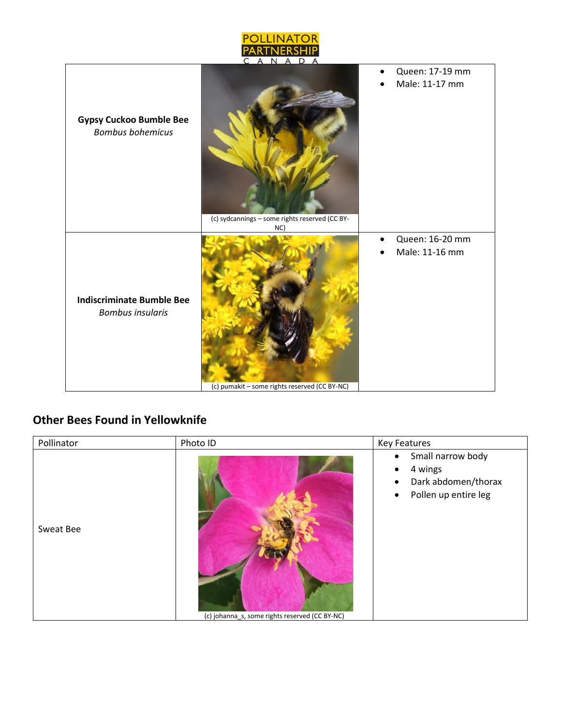

# **Other Bees Found in Yellowknife**

| Small narrow body<br>$\bullet$<br>4 wings<br>$\bullet$<br>Dark abdomen/thorax<br>$\bullet$<br>Pollen up entire leg<br>$\bullet$<br>Sweat Bee | Pollinator | Photo ID | <b>Key Features</b> |
|----------------------------------------------------------------------------------------------------------------------------------------------|------------|----------|---------------------|
| (c) johanna_s, some rights reserved (CC BY-NC)                                                                                               |            |          |                     |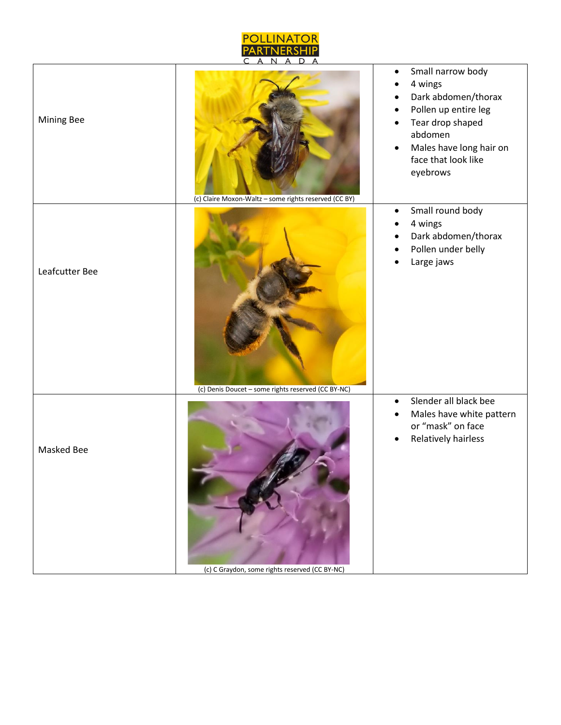

| Mining Bee        | (c) Claire Moxon-Waltz - some rights reserved (CC BY) | Small narrow body<br>$\bullet$<br>4 wings<br>Dark abdomen/thorax<br>$\bullet$<br>Pollen up entire leg<br>Tear drop shaped<br>abdomen<br>Males have long hair on<br>face that look like<br>eyebrows |
|-------------------|-------------------------------------------------------|----------------------------------------------------------------------------------------------------------------------------------------------------------------------------------------------------|
| Leafcutter Bee    | (c) Denis Doucet - some rights reserved (CC BY-NC)    | Small round body<br>$\bullet$<br>4 wings<br>$\bullet$<br>Dark abdomen/thorax<br>Pollen under belly<br>Large jaws                                                                                   |
| <b>Masked Bee</b> | (c) C Graydon, some rights reserved (CC BY-NC)        | Slender all black bee<br>$\bullet$<br>Males have white pattern<br>or "mask" on face<br>Relatively hairless                                                                                         |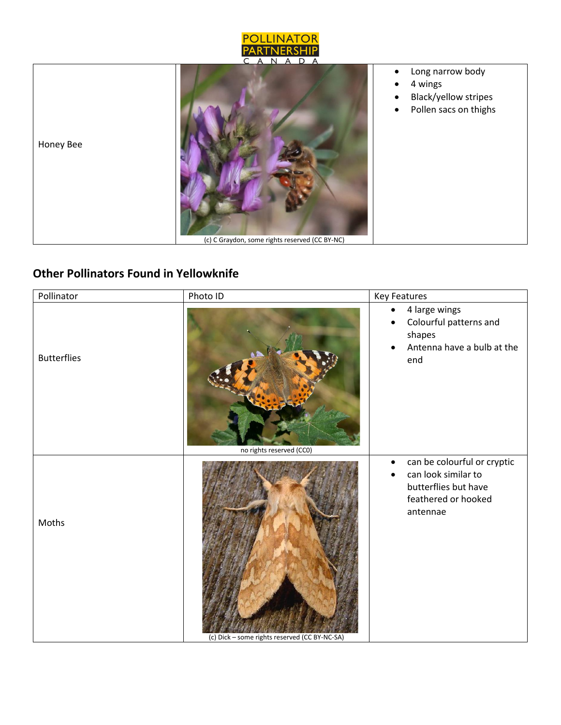



# **Other Pollinators Found in Yellowknife**

| Pollinator         | Photo ID                                      | <b>Key Features</b>                                                                                                        |
|--------------------|-----------------------------------------------|----------------------------------------------------------------------------------------------------------------------------|
| <b>Butterflies</b> | no rights reserved (CCO)                      | 4 large wings<br>$\bullet$<br>Colourful patterns and<br>shapes<br>Antenna have a bulb at the<br>end                        |
| Moths              | (c) Dick - some rights reserved (CC BY-NC-SA) | can be colourful or cryptic<br>$\bullet$<br>can look similar to<br>butterflies but have<br>feathered or hooked<br>antennae |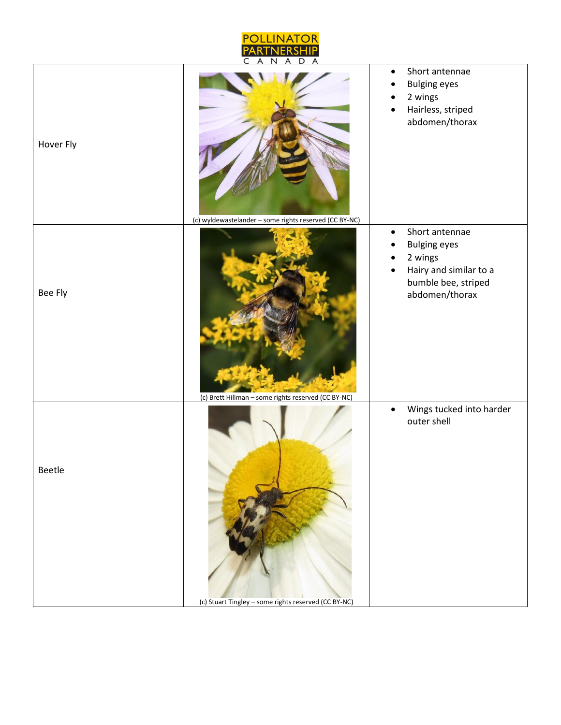

| Hover Fly | (c) wyldewastelander - some rights reserved (CC BY-NC) | Short antennae<br>$\bullet$<br><b>Bulging eyes</b><br>2 wings<br>Hairless, striped<br>abdomen/thorax                                          |
|-----------|--------------------------------------------------------|-----------------------------------------------------------------------------------------------------------------------------------------------|
| Bee Fly   | (c) Brett Hillman - some rights reserved (CC BY-NC)    | Short antennae<br>$\bullet$<br><b>Bulging eyes</b><br>$\bullet$<br>2 wings<br>Hairy and similar to a<br>bumble bee, striped<br>abdomen/thorax |
| Beetle    | (c) Stuart Tingley - some rights reserved (CC BY-NC)   | Wings tucked into harder<br>$\bullet$<br>outer shell                                                                                          |